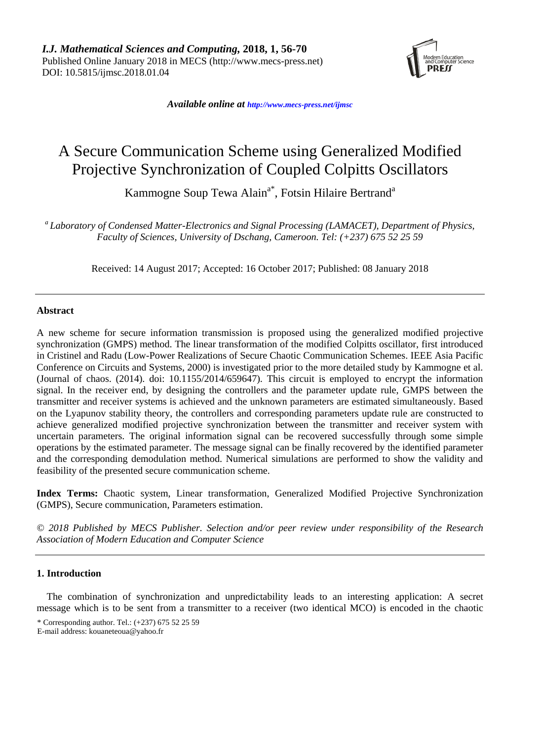

*Available online at [http://www.mecs-press.net/ijm](http://www.mecs-press.net/ijwmt)sc*

# A Secure Communication Scheme using Generalized Modified Projective Synchronization of Coupled Colpitts Oscillators

Kammogne Soup Tewa Alain<sup>a\*</sup>, Fotsin Hilaire Bertrand<sup>a</sup>

*a Laboratory of Condensed Matter-Electronics and Signal Processing (LAMACET), Department of Physics, Faculty of Sciences, University of Dschang, Cameroon. Tel: (+237) 675 52 25 59*

Received: 14 August 2017; Accepted: 16 October 2017; Published: 08 January 2018

## **Abstract**

A new scheme for secure information transmission is proposed using the generalized modified projective synchronization (GMPS) method. The linear transformation of the modified Colpitts oscillator, first introduced in Cristinel and Radu (Low-Power Realizations of Secure Chaotic Communication Schemes. IEEE Asia Pacific Conference on Circuits and Systems, 2000) is investigated prior to the more detailed study by Kammogne et al. (Journal of chaos. (2014). doi: 10.1155/2014/659647). This circuit is employed to encrypt the information signal. In the receiver end, by designing the controllers and the parameter update rule, GMPS between the transmitter and receiver systems is achieved and the unknown parameters are estimated simultaneously. Based on the Lyapunov stability theory, the controllers and corresponding parameters update rule are constructed to achieve generalized modified projective synchronization between the transmitter and receiver system with uncertain parameters. The original information signal can be recovered successfully through some simple operations by the estimated parameter. The message signal can be finally recovered by the identified parameter and the corresponding demodulation method. Numerical simulations are performed to show the validity and feasibility of the presented secure communication scheme.

**Index Terms:** Chaotic system, Linear transformation, Generalized Modified Projective Synchronization (GMPS), Secure communication, Parameters estimation.

*© 2018 Published by MECS Publisher. Selection and/or peer review under responsibility of the Research Association of Modern Education and Computer Science*

## **1. Introduction**

The combination of synchronization and unpredictability leads to an interesting application: A secret message which is to be sent from a transmitter to a receiver (two identical MCO) is encoded in the chaotic

<sup>\*</sup> Corresponding author. Tel.: (+237) 675 52 25 59

E-mail address: kouaneteoua@yahoo.fr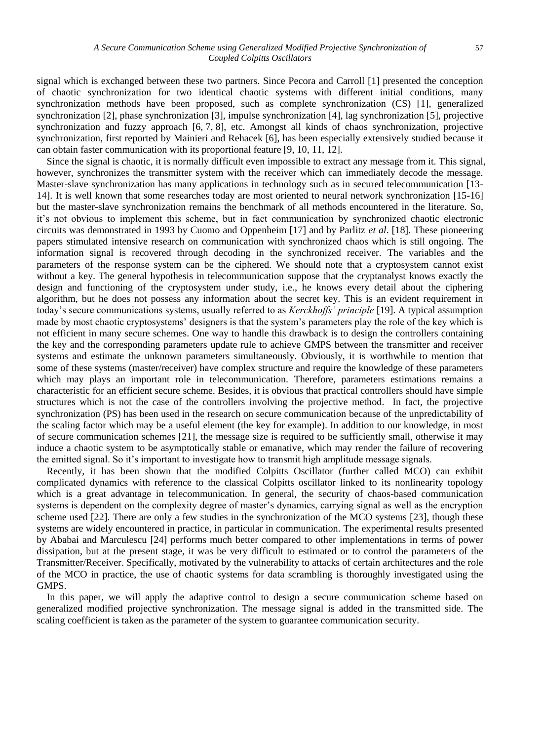signal which is exchanged between these two partners. Since Pecora and Carroll [\[1\]](https://link.springer.com/article/10.1186/1687-6180-2011-14#CR1) presented the conception of chaotic synchronization for two identical chaotic systems with different initial conditions, many synchronization methods have been proposed, such as complete synchronization (CS) [\[1\]](https://link.springer.com/article/10.1186/1687-6180-2011-14#CR1), generalized synchronization [\[2\]](https://link.springer.com/article/10.1186/1687-6180-2011-14#CR2), phase synchronization [\[3\]](https://link.springer.com/article/10.1186/1687-6180-2011-14#CR3), impulse synchronization [\[4\]](https://link.springer.com/article/10.1186/1687-6180-2011-14#CR4), lag synchronization [\[5\]](https://link.springer.com/article/10.1186/1687-6180-2011-14#CR5), projective synchronization and fuzzy approach [\[6,](https://link.springer.com/article/10.1186/1687-6180-2011-14#CR6) [7,](https://link.springer.com/article/10.1186/1687-6180-2011-14#CR7) [8\]](https://link.springer.com/article/10.1186/1687-6180-2011-14#CR8), etc. Amongst all kinds of chaos synchronization, projective synchronization, first reported by Mainieri and Rehacek [\[6\]](https://link.springer.com/article/10.1186/1687-6180-2011-14#CR6), has been especially extensively studied because it can obtain faster communication with its proportional feature [\[9,](https://link.springer.com/article/10.1186/1687-6180-2011-14#CR9) [10,](https://link.springer.com/article/10.1186/1687-6180-2011-14#CR10) [11,](https://link.springer.com/article/10.1186/1687-6180-2011-14#CR11) [12\]](https://link.springer.com/article/10.1186/1687-6180-2011-14#CR12).

Since the signal is chaotic, it is normally difficult even impossible to extract any message from it. This signal, however, synchronizes the transmitter system with the receiver which can immediately decode the message. Master-slave synchronization has many applications in technology such as in secured telecommunication [13- 14]. It is well known that some researches today are most oriented to neural network synchronization [15-16] but the master-slave synchronization remains the benchmark of all methods encountered in the literature. So, it's not obvious to implement this scheme, but in fact communication by synchronized chaotic electronic circuits was demonstrated in 1993 by Cuomo and Oppenheim [17] and by Parlitz *et al*. [18]. These pioneering papers stimulated intensive research on communication with synchronized chaos which is still ongoing. The information signal is recovered through decoding in the synchronized receiver. The variables and the parameters of the response system can be the ciphered. We should note that a cryptosystem cannot exist without a key. The general hypothesis in telecommunication suppose that the cryptanalyst knows exactly the design and functioning of the cryptosystem under study, i.e., he knows every detail about the ciphering algorithm, but he does not possess any information about the secret key. This is an evident requirement in today's secure communications systems, usually referred to as *Kerckhoffs' principle* [19]. A typical assumption made by most chaotic cryptosystems' designers is that the system's parameters play the role of the key which is not efficient in many secure schemes. One way to handle this drawback is to design the controllers containing the key and the corresponding parameters update rule to achieve GMPS between the transmitter and receiver systems and estimate the unknown parameters simultaneously. Obviously, it is worthwhile to mention that some of these systems (master/receiver) have complex structure and require the knowledge of these parameters which may plays an important role in telecommunication. Therefore, parameters estimations remains a characteristic for an efficient secure scheme. Besides, it is obvious that practical controllers should have simple structures which is not the case of the controllers involving the projective method. In fact, the projective synchronization (PS) has been used in the research on secure communication because of the unpredictability of the scaling factor which may be a useful element (the key for example). In addition to our knowledge, in most of secure communication schemes [21], the message size is required to be sufficiently small, otherwise it may induce a chaotic system to be asymptotically stable or emanative, which may render the failure of recovering the emitted signal. So it's important to investigate how to transmit high amplitude message signals.

Recently, it has been shown that the modified Colpitts Oscillator (further called MCO) can exhibit complicated dynamics with reference to the classical Colpitts oscillator linked to its nonlinearity topology which is a great advantage in telecommunication. In general, the security of chaos-based communication systems is dependent on the complexity degree of master's dynamics, carrying signal as well as the encryption scheme used [22]. There are only a few studies in the synchronization of the MCO systems [23], though these systems are widely encountered in practice, in particular in communication. The experimental results presented by Ababai and Marculescu [24] performs much better compared to other implementations in terms of power dissipation, but at the present stage, it was be very difficult to estimated or to control the parameters of the Transmitter/Receiver. Specifically, motivated by the vulnerability to attacks of certain architectures and the role of the MCO in practice, the use of chaotic systems for data scrambling is thoroughly investigated using the GMPS.

In this paper, we will apply the adaptive control to design a secure communication scheme based on generalized modified projective synchronization. The message signal is added in the transmitted side. The scaling coefficient is taken as the parameter of the system to guarantee communication security.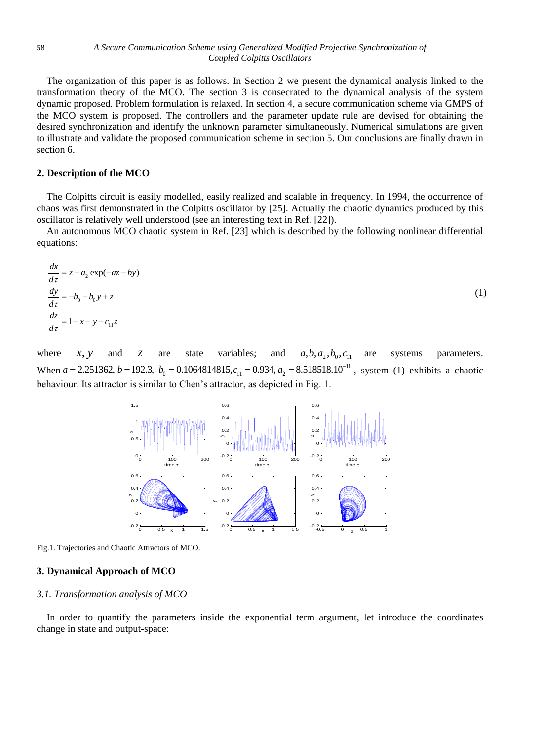The organization of this paper is as follows. In Section 2 we present the dynamical analysis linked to the transformation theory of the MCO. The section 3 is consecrated to the dynamical analysis of the system dynamic proposed. Problem formulation is relaxed. In section 4, a secure communication scheme via GMPS of the MCO system is proposed. The controllers and the parameter update rule are devised for obtaining the desired synchronization and identify the unknown parameter simultaneously. Numerical simulations are given to illustrate and validate the proposed communication scheme in section 5. Our conclusions are finally drawn in section 6.

### **2. Description of the MCO**

The Colpitts circuit is easily modelled, easily realized and scalable in frequency. In 1994, the occurrence of chaos was first demonstrated in the Colpitts oscillator by [25]. Actually the chaotic dynamics produced by this oscillator is relatively well understood (see an interesting text in Ref. [22]).

An autonomous MCO chaotic system in Ref. [23] which is described by the following nonlinear differential equations:

$$
\frac{dx}{d\tau} = z - a_2 \exp(-az - by)
$$
  
\n
$$
\frac{dy}{d\tau} = -b_0 - b_0 y + z
$$
  
\n
$$
\frac{dz}{d\tau} = 1 - x - y - c_{11} z
$$
\n(1)

where *x y*, and *z* are state variables; and  $a, b, a_2, b_0, c_{11}$ are systems parameters. When  $a = 2.251362$ ,  $b = 192.3$ ,  $b_0 = 0.1064814815$ ,  $c_{11} = 0.934$ ,  $a_2 = 8.518518.10^{-11}$ *x*, *y* and *z* are state variables; and *a*,*b*,*a*<sub>2</sub>,*b*<sub>0</sub>,*c*<sub>11</sub> are systems parameters.<br> *a* = 2.251362, *b* = 192.3, *b*<sub>0</sub> = 0.1064814815, *c*<sub>11</sub> = 0.934, *a*<sub>2</sub> = 8.518518.10<sup>-11</sup>, system (1) exhibits a chaoti behaviour. Its attractor is similar to Chen's attractor, as depicted in Fig. 1.



Fig.1. Trajectories and Chaotic Attractors of MCO.

### **3. Dynamical Approach of MCO**

#### *3.1. Transformation analysis of MCO*

In order to quantify the parameters inside the exponential term argument, let introduce the coordinates change in state and output-space: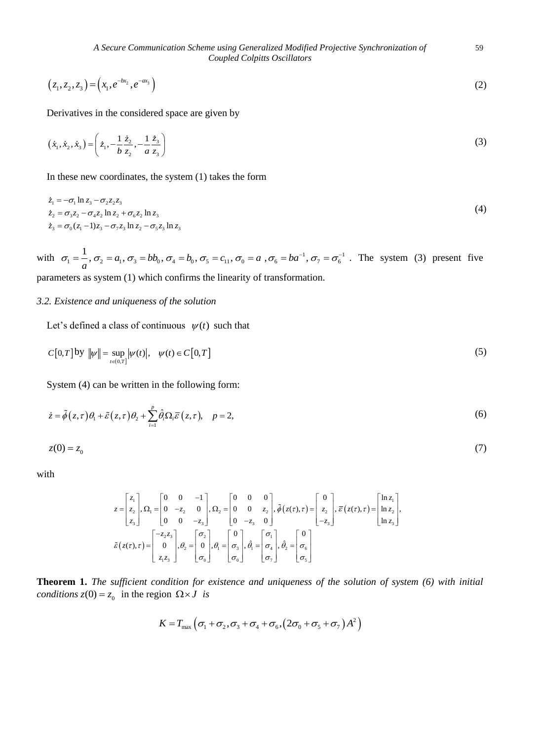*A Secure Communication Scheme using Generalized Modified Projective Synchronization of* 59 *Coupled Colpitts Oscillators*

$$
(z_1, z_2, z_3) = (x_1, e^{-bx_2}, e^{-ax_3})
$$
\n(2)

Derivatives in the considered space are given by

$$
(\dot{x}_1, \dot{x}_2, \dot{x}_3) = \left(\dot{z}_1, -\frac{1}{b} \frac{\dot{z}_2}{z_2}, -\frac{1}{a} \frac{\dot{z}_3}{z_3}\right)
$$
 (3)

In these new coordinates, the system (1) takes the form

$$
\dot{z}_1 = -\sigma_1 \ln z_3 - \sigma_2 z_2 z_3 \n\dot{z}_2 = \sigma_3 z_2 - \sigma_4 z_2 \ln z_2 + \sigma_6 z_2 \ln z_3 \n\dot{z}_3 = \sigma_0 (z_1 - 1) z_3 - \sigma_7 z_3 \ln z_2 - \sigma_5 z_3 \ln z_3
$$
\n(4)

with  $\sigma_1 = \frac{1}{a}$ ,  $\sigma_2 = a_1$ ,  $\sigma_3 = bb_0$ ,  $\sigma_4 = b_0$ ,  $\sigma_5 = c_{11}$ ,  $\sigma_0 = a$ ,  $\sigma_6 = ba^{-1}$ ,  $\sigma_7 = \sigma_6^{-1}$  $\sigma_1 = \frac{1}{a}$ ,  $\sigma_2 = a_1$ ,  $\sigma_3 = bb_0$ ,  $\sigma_4 = b_0$ ,  $\sigma_5 = c_{11}$ ,  $\sigma_0 = a$ ,  $\sigma_6 = ba^{-1}$ ,  $\sigma_7 = \sigma_6^{-1}$ . The system (3) present five parameters as system (1) which confirms the linearity of transformation.

#### *3.2. Existence and uniqueness of the solution*

Let's defined a class of continuous  $\psi(t)$  such that

$$
C[0,T] \text{ by } ||\psi|| = \sup_{t \in (0,T]} |\psi(t)|, \quad \psi(t) \in C[0,T] \tag{5}
$$

System (4) can be written in the following form:

$$
\dot{z} = \tilde{\phi}(z,\tau)\theta_1 + \tilde{\varepsilon}(z,\tau)\theta_2 + \sum_{i=1}^p \hat{\theta}_i \Omega_i \overline{\varepsilon}(z,\tau), \quad p = 2,
$$
\n(6)

$$
z(0) = z_0 \tag{7}
$$

with

$$
z = \begin{bmatrix} z_1 \\ z_2 \\ z_3 \end{bmatrix}, \Omega_1 = \begin{bmatrix} 0 & 0 & -1 \\ 0 & -z_2 & 0 \\ 0 & 0 & -z_3 \end{bmatrix}, \Omega_2 = \begin{bmatrix} 0 & 0 & 0 \\ 0 & 0 & z_2 \\ 0 & -z_3 & 0 \end{bmatrix}, \tilde{\phi}(z(\tau), \tau) = \begin{bmatrix} 0 \\ z_2 \\ -z_3 \end{bmatrix}, \overline{\epsilon}(z(\tau), \tau) = \begin{bmatrix} \ln z_1 \\ \ln z_2 \\ \ln z_3 \end{bmatrix},
$$

$$
\tilde{\epsilon}(z(\tau), \tau) = \begin{bmatrix} -z_2 z_3 \\ 0 \\ z_1 z_3 \end{bmatrix}, \theta_2 = \begin{bmatrix} \sigma_2 \\ \sigma_0 \\ \sigma_0 \end{bmatrix}, \theta_1 = \begin{bmatrix} 0 \\ \sigma_3 \\ \sigma_0 \end{bmatrix}, \hat{\theta}_1 = \begin{bmatrix} \sigma_1 \\ \sigma_1 \\ \sigma_7 \end{bmatrix}, \hat{\theta}_2 = \begin{bmatrix} 0 \\ \sigma_6 \\ \sigma_5 \end{bmatrix}
$$

**Theorem 1.** *The sufficient condition for existence and uniqueness of the solution of system (6) with initial conditions*  $z(0) = z_0$  in the region  $\Omega \times J$  *is* 

$$
K = T_{\text{max}} \left( \sigma_1 + \sigma_2, \sigma_3 + \sigma_4 + \sigma_6, (2\sigma_0 + \sigma_5 + \sigma_7) A^2 \right)
$$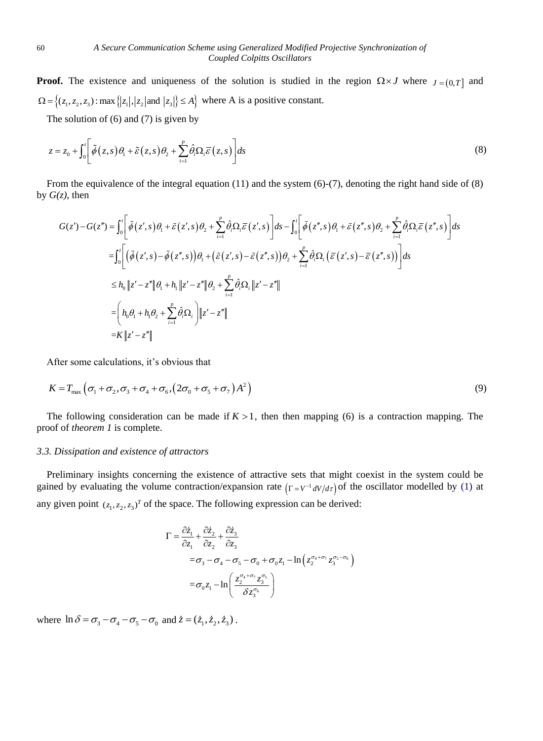**Proof.** The existence and uniqueness of the solution is studied in the region  $\Omega \times J$  where  $J = (0, T]$  and  $\Omega = \{(z_1, z_2, z_3) : \max\{|z_1|, |z_2| \text{ and } |z_3|\} \le A\}$  where A is a positive constant.

The solution of  $(6)$  and  $(7)$  is given by

$$
z = z_0 + \int_0^t \left[ \tilde{\phi}(z, s) \theta_1 + \tilde{\varepsilon}(z, s) \theta_2 + \sum_{i=1}^p \hat{\theta}_i \Omega_i \overline{\varepsilon}(z, s) \right] ds \tag{8}
$$

by  $G(z)$ , then

From the equivalence of the integral equation (11) and the system (6)-(7), denoting the right hand side of (8)  
\n
$$
G(z), \text{ then}
$$
\n
$$
G(z') - G(z'') = \int_0^t \left[ \tilde{\phi}(z',s) \theta_1 + \tilde{\varepsilon}(z',s) \theta_2 + \sum_{i=1}^p \hat{\theta}_i \Omega_i \overline{\varepsilon}(z',s) \right] ds - \int_0^t \left[ \tilde{\phi}(z'',s) \theta_1 + \tilde{\varepsilon}(z'',s) \theta_2 + \sum_{i=1}^p \hat{\theta}_i \Omega_i \overline{\varepsilon}(z'',s) \right] ds
$$
\n
$$
= \int_0^t \left[ \left( \tilde{\phi}(z',s) - \tilde{\phi}(z'',s) \right) \theta_1 + \left( \tilde{\varepsilon}(z',s) - \tilde{\varepsilon}(z'',s) \right) \theta_2 + \sum_{i=1}^p \hat{\theta}_i \Omega_i \left( \overline{\varepsilon}(z',s) - \overline{\varepsilon}(z'',s) \right) \right] ds
$$
\n
$$
\leq h_0 \left\| z' - z'' \right\| \theta_1 + h_1 \left\| z' - z'' \right\| \theta_2 + \sum_{i=1}^p \hat{\theta}_i \Omega_i \left\| z' - z'' \right\|
$$
\n
$$
= \left( h_0 \theta_1 + h_1 \theta_2 + \sum_{i=1}^p \hat{\theta}_i \Omega_i \right) \left\| z' - z'' \right\|
$$
\n
$$
= K \left\| z' - z'' \right\|
$$

After some calculations, it's obvious that

$$
K = T_{\text{max}} \left( \sigma_1 + \sigma_2, \sigma_3 + \sigma_4 + \sigma_6, (2\sigma_0 + \sigma_5 + \sigma_7) A^2 \right)
$$
\n(9)

The following consideration can be made if  $K > 1$ , then then mapping (6) is a contraction mapping. The proof of *theorem 1* is complete.

#### *3.3. Dissipation and existence of attractors*

Preliminary insights concerning the existence of attractive sets that might coexist in the system could be gained by evaluating the volume contraction/expansion rate  $(\Gamma = V^{-1} dV/d\tau)$  of the oscillator modelled by (1) at any given point  $(z_1, z_2, z_3)^T$  of the space. The following expression can be derived:

$$
\Gamma = \frac{\partial \dot{z}_1}{\partial z_1} + \frac{\partial \dot{z}_2}{\partial z_2} + \frac{\partial \dot{z}_3}{\partial z_3}
$$
  
=  $\sigma_3 - \sigma_4 - \sigma_5 - \sigma_0 + \sigma_0 z_1 - \ln(z_2^{\sigma_4 + \sigma_7} z_3^{\sigma_5 - \sigma_6})$   
=  $\sigma_0 z_1 - \ln\left(\frac{z_2^{\sigma_4 + \sigma_7} z_3^{\sigma_5}}{\delta z_3^{\sigma_6}}\right)$ 

where  $\ln \delta = \sigma_3 - \sigma_4 - \sigma_5 - \sigma_0$  and  $\dot{z} = (\dot{z}_1, \dot{z}_2, \dot{z}_3)$ .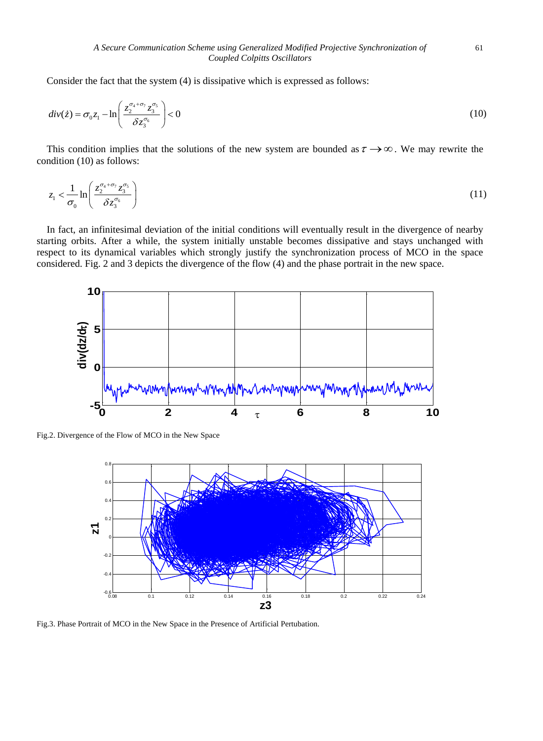Consider the fact that the system (4) is dissipative which is expressed as follows:

$$
div(z) = \sigma_0 z_1 - \ln\left(\frac{z_2^{\sigma_4 + \sigma_7} z_3^{\sigma_5}}{\delta z_3^{\sigma_6}}\right) < 0
$$
\n(10)

This condition implies that the solutions of the new system are bounded as  $\tau \rightarrow \infty$ . We may rewrite the condition (10) as follows:

$$
z_1 < \frac{1}{\sigma_0} \ln \left( \frac{z_2^{\sigma_4 + \sigma_7} z_3^{\sigma_5}}{\delta z_3^{\sigma_6}} \right) \tag{11}
$$

In fact, an infinitesimal deviation of the initial conditions will eventually result in the divergence of nearby starting orbits. After a while, the system initially unstable becomes dissipative and stays unchanged with respect to its dynamical variables which strongly justify the synchronization process of MCO in the space considered. Fig. 2 and 3 depicts the divergence of the flow (4) and the phase portrait in the new space.



Fig.2. Divergence of the Flow of MCO in the New Space



Fig.3. Phase Portrait of MCO in the New Space in the Presence of Artificial Pertubation.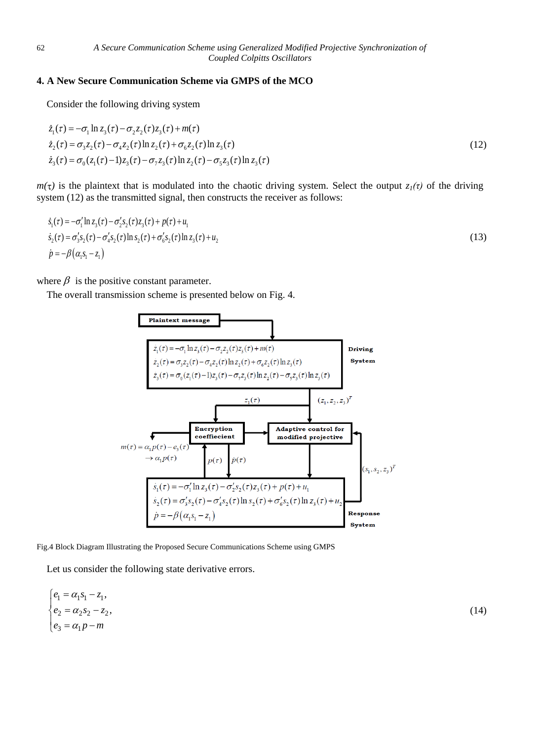## **4. A New Secure Communication Scheme via GMPS of the MCO**

Consider the following driving system  
\n
$$
\dot{z}_1(\tau) = -\sigma_1 \ln z_3(\tau) - \sigma_2 z_2(\tau) z_3(\tau) + m(\tau)
$$
\n
$$
\dot{z}_2(\tau) = \sigma_3 z_2(\tau) - \sigma_4 z_2(\tau) \ln z_2(\tau) + \sigma_6 z_2(\tau) \ln z_3(\tau)
$$
\n
$$
\dot{z}_3(\tau) = \sigma_0 (z_1(\tau) - 1) z_3(\tau) - \sigma_7 z_3(\tau) \ln z_2(\tau) - \sigma_5 z_3(\tau) \ln z_3(\tau)
$$
\n(12)

 $m(\tau)$  is the plaintext that is modulated into the chaotic driving system. Select the output  $z_1(\tau)$  of the driving system (12) as the transmitted signal, then constructs the receiver as follows:

$$
\dot{s}_1(\tau) = -\sigma'_1 \ln z_3(\tau) - \sigma'_2 s_2(\tau) z_3(\tau) + p(\tau) + u_1 \n\dot{s}_2(\tau) = \sigma'_3 s_2(\tau) - \sigma'_4 s_2(\tau) \ln s_2(\tau) + \sigma'_6 s_2(\tau) \ln z_3(\tau) + u_2 \n\dot{p} = -\beta (\alpha_1 s_1 - z_1)
$$
\n(13)

where  $\beta$  is the positive constant parameter.

The overall transmission scheme is presented below on Fig. 4.



Fig.4 Block Diagram Illustrating the Proposed Secure Communications Scheme using GMPS

Let us consider the following state derivative errors.

$$
\begin{cases} e_1 = \alpha_1 s_1 - z_1, \\ e_2 = \alpha_2 s_2 - z_2, \\ e_3 = \alpha_1 p - m \end{cases} \tag{14}
$$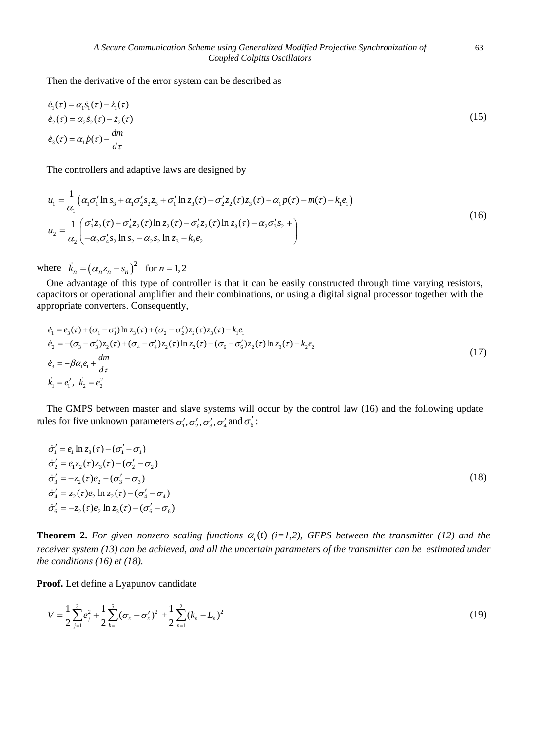Then the derivative of the error system can be described as

$$
\dot{e}_1(\tau) = \alpha_1 \dot{s}_1(\tau) - \dot{z}_1(\tau) \n\dot{e}_2(\tau) = \alpha_2 \dot{s}_2(\tau) - \dot{z}_2(\tau) \n\dot{e}_3(\tau) = \alpha_1 \dot{p}(\tau) - \frac{dm}{d\tau}
$$
\n(15)

The controllers and adaptive laws are designed by  
\n
$$
u_{1} = \frac{1}{\alpha_{1}} (\alpha_{1} \sigma_{1}^{\'} \ln s_{3} + \alpha_{1} \sigma_{2}^{\'} s_{2} z_{3} + \sigma_{1}^{\'} \ln z_{3}(\tau) - \sigma_{2}^{\'} z_{2}(\tau) z_{3}(\tau) + \alpha_{1} p(\tau) - m(\tau) - k_{1} e_{1})
$$
\n
$$
u_{2} = \frac{1}{\alpha_{2}} \left( \frac{\sigma_{3}^{\'} z_{2}(\tau) + \sigma_{4}^{\'} z_{2}(\tau) \ln z_{2}(\tau) - \sigma_{6}^{\'} z_{2}(\tau) \ln z_{3}(\tau) - \alpha_{2} \sigma_{3}^{\'} s_{2} + \sigma_{2}^{\'} z_{2} \ln z_{2} - \alpha_{2} s_{2} \ln z_{3} - k_{2} e_{2} \right)
$$
\n(16)

where  $\dot{k}_n = (\alpha_n z_n - s_n)^2$  for  $n = 1, 2$ 

One advantage of this type of controller is that it can be easily constructed through time varying resistors, capacitors or operational amplifier and their combinations, or using a digital signal processor together with the

appropriate converts. Consequently,  
\n
$$
\dot{e}_1 = e_3(\tau) + (\sigma_1 - \sigma_1') \ln z_3(\tau) + (\sigma_2 - \sigma_2') z_2(\tau) z_3(\tau) - k_1 e_1
$$
\n
$$
\dot{e}_2 = -(\sigma_3 - \sigma_3') z_2(\tau) + (\sigma_4 - \sigma_4') z_2(\tau) \ln z_2(\tau) - (\sigma_6 - \sigma_6') z_2(\tau) \ln z_3(\tau) - k_2 e_2
$$
\n
$$
\dot{e}_3 = -\beta \alpha_1 e_1 + \frac{dm}{d\tau}
$$
\n
$$
\dot{k}_1 = e_1^2, \ \dot{k}_2 = e_2^2
$$
\n(17)

The GMPS between master and slave systems will occur by the control law (16) and the following update rules for five unknown parameters  $\sigma'_1, \sigma'_2, \sigma'_3, \sigma'_4$  and  $\sigma'_6$ :

$$
\dot{\sigma}'_1 = e_1 \ln z_3(\tau) - (\sigma'_1 - \sigma_1) \n\dot{\sigma}'_2 = e_1 z_2(\tau) z_3(\tau) - (\sigma'_2 - \sigma_2) \n\dot{\sigma}'_3 = -z_2(\tau) e_2 - (\sigma'_3 - \sigma_3) \n\dot{\sigma}'_4 = z_2(\tau) e_2 \ln z_2(\tau) - (\sigma'_4 - \sigma_4) \n\dot{\sigma}'_6 = -z_2(\tau) e_2 \ln z_3(\tau) - (\sigma'_6 - \sigma_6)
$$
\n(18)

**Theorem 2.** For given nonzero scaling functions  $\alpha_i(t)$  (*i*=1,2), GFPS between the transmitter (12) and the *receiver system (13) can be achieved, and all the uncertain parameters of the transmitter can be estimated under the conditions (16) et (18).*

**Proof.** Let define a Lyapunov candidate

$$
V = \frac{1}{2} \sum_{j=1}^{3} e_j^2 + \frac{1}{2} \sum_{k=1}^{5} (\sigma_k - \sigma'_k)^2 + \frac{1}{2} \sum_{n=1}^{2} (k_n - L_n)^2
$$
(19)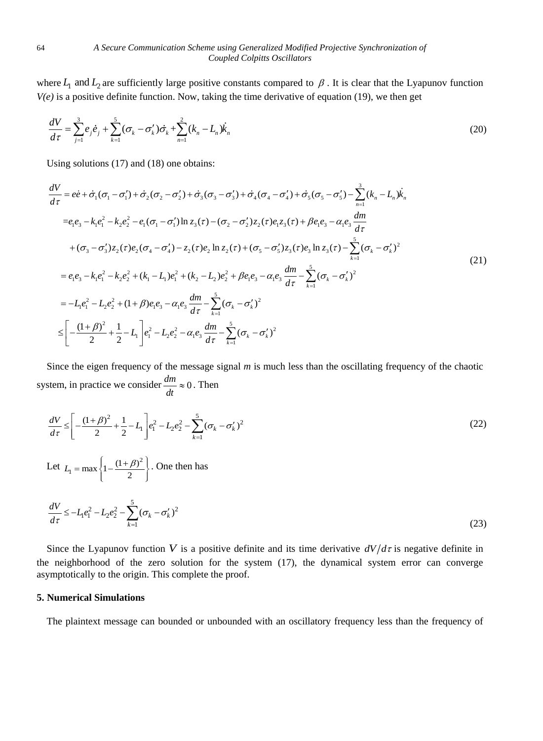where  $L_1$  and  $L_2$  are sufficiently large positive constants compared to  $\beta$ . It is clear that the Lyapunov function *V(e)* is a positive definite function. Now, taking the time derivative of equation (19), we then get

$$
\frac{dV}{d\tau} = \sum_{j=1}^{3} e_j \dot{e}_j + \sum_{k=1}^{5} (\sigma_k - \sigma'_k) \dot{\sigma}_k + \sum_{n=1}^{2} (k_n - L_n) \dot{k}_n
$$
\n(20)

Using solutions (17) and (18) one obtains:

Using solutions (17) and (18) one obtains:  
\n
$$
\frac{dV}{d\tau} = e\dot{e} + \dot{\sigma}_1(\sigma_1 - \sigma'_1) + \dot{\sigma}_2(\sigma_2 - \sigma'_2) + \dot{\sigma}_3(\sigma_3 - \sigma'_3) + \dot{\sigma}_4(\sigma_4 - \sigma'_4) + \dot{\sigma}_5(\sigma_5 - \sigma'_5) - \sum_{n=1}^3 (k_n - L_n)\dot{k}_n
$$
\n
$$
= e_1e_3 - k_1e_1^2 - k_2e_2^2 - e_1(\sigma_1 - \sigma'_1)\ln z_3(\tau) - (\sigma_2 - \sigma'_2)z_2(\tau)e_1z_3(\tau) + \beta e_1e_3 - \alpha_1e_3\frac{dm}{d\tau}
$$
\n
$$
+ (\sigma_3 - \sigma'_3)z_2(\tau)e_2(\sigma_4 - \sigma'_4) - z_2(\tau)e_2\ln z_2(\tau) + (\sigma_5 - \sigma'_5)z_3(\tau)e_3\ln z_3(\tau) - \sum_{k=1}^5 (\sigma_k - \sigma'_k)^2
$$
\n
$$
= e_1e_3 - k_1e_1^2 - k_2e_2^2 + (k_1 - L_1)e_1^2 + (k_2 - L_2)e_2^2 + \beta e_1e_3 - \alpha_1e_3\frac{dm}{d\tau} - \sum_{k=1}^5 (\sigma_k - \sigma'_k)^2
$$
\n
$$
= -L_1e_1^2 - L_2e_2^2 + (1+\beta)e_1e_3 - \alpha_1e_3\frac{dm}{d\tau} - \sum_{k=1}^5 (\sigma_k - \sigma'_k)^2
$$
\n
$$
\leq \left[ -\frac{(1+\beta)^2}{2} + \frac{1}{2} - L_1 \right]e_1^2 - L_2e_2^2 - \alpha_1e_3\frac{dm}{d\tau} - \sum_{k=1}^5 (\sigma_k - \sigma'_k)^2
$$
\n(21)

Since the eigen frequency of the message signal *m* is much less than the oscillating frequency of the chaotic system, in practice we consider  $\frac{dm}{dx} \approx 0$  $\frac{dm}{dt} \approx 0$ . Then

$$
\frac{dV}{d\tau} \le \left[ -\frac{(1+\beta)^2}{2} + \frac{1}{2} - L_1 \right] e_1^2 - L_2 e_2^2 - \sum_{k=1}^5 (\sigma_k - \sigma'_k)^2 \tag{22}
$$

Let  $L = \max \left\{ 1 - \frac{(1 + \beta)^2}{\beta} \right\}$  $L_1 = \max\left\{1 - \frac{(1+\beta)^2}{2}\right\}$ . One then has

$$
\frac{dV}{d\tau} \le -L_1 e_1^2 - L_2 e_2^2 - \sum_{k=1}^5 (\sigma_k - \sigma'_k)^2
$$
\n(23)

Since the Lyapunov function V is a positive definite and its time derivative  $dV/d\tau$  is negative definite in the neighborhood of the zero solution for the system (17), the dynamical system error can converge asymptotically to the origin. This complete the proof.

## **5. Numerical Simulations**

The plaintext message can bounded or unbounded with an oscillatory frequency less than the frequency of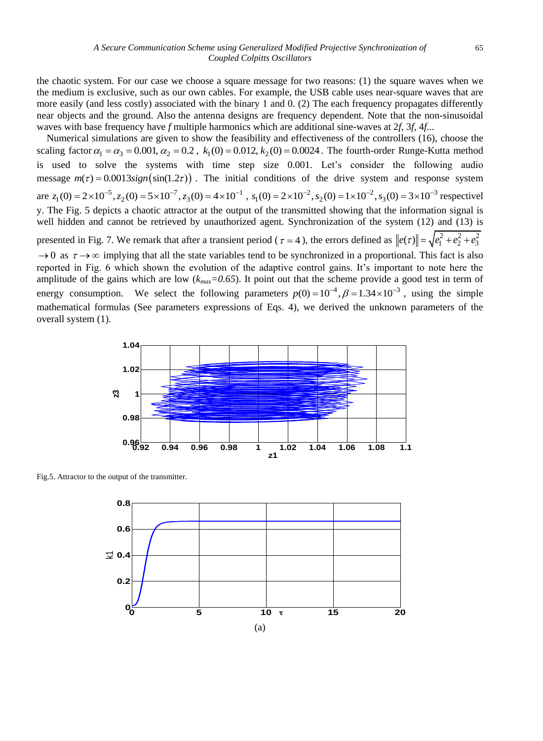the chaotic system. For our case we choose a square message for two reasons: (1) the square waves when we the medium is exclusive, such as our own cables. For example, the USB cable uses near-square waves that are more easily (and less costly) associated with the binary 1 and 0. (2) The each frequency propagates differently near objects and the ground. Also the antenna designs are frequency dependent. Note that the non-sinusoidal waves with base frequency have *f* multiple harmonics which are additional sine-waves at 2*f*, 3*f*, 4*f*...

Numerical simulations are given to show the feasibility and effectiveness of the controllers (16), choose the scaling factor  $\alpha_1 = \alpha_3 = 0.001$ ,  $\alpha_2 = 0.2$ ,  $k_1(0) = 0.012$ ,  $k_2(0) = 0.0024$ . The fourth-order Runge-Kutta method is used to solve the systems with time step size 0.001. Let's consider the following audio message  $m(\tau) = 0.0013 \text{sign}(\sin(1.2\tau))$ . The initial conditions of the drive system and response system message  $m(\tau) = 0.0013 \text{sign}(\text{sin}(1.2\tau))$ . The initial conditions of the drive system and response system<br>are  $z_1(0) = 2 \times 10^{-5}$ ,  $z_2(0) = 5 \times 10^{-7}$ ,  $z_3(0) = 4 \times 10^{-1}$ ,  $s_1(0) = 2 \times 10^{-2}$ ,  $s_2(0) = 1 \times 10^{-2}$ ,  $s_3(0) =$ y. The Fig. 5 depicts a chaotic attractor at the output of the transmitted showing that the information signal is well hidden and cannot be retrieved by unauthorized agent. Synchronization of the system (12) and (13) is presented in Fig. 7. We remark that after a transient period ( $\tau = 4$ ), the errors defined as  $||e(\tau)|| = \sqrt{e_1^2 + e_2^2 + e_3^2}$  $\to 0$  as  $\tau \to \infty$  implying that all the state variables tend to be synchronized in a proportional. This fact is also reported in Fig. 6 which shown the evolution of the adaptive control gains. It's important to note here the amplitude of the gains which are low  $(k_{max}=0.65)$ . It point out that the scheme provide a good test in term of energy consumption. We select the following parameters  $p(0) = 10^{-4}$ ,  $\beta = 1.34 \times 10^{-3}$ , using the simple mathematical formulas (See parameters expressions of Eqs. 4), we derived the unknown parameters of the overall system (1).



Fig.5. Attractor to the output of the transmitter.

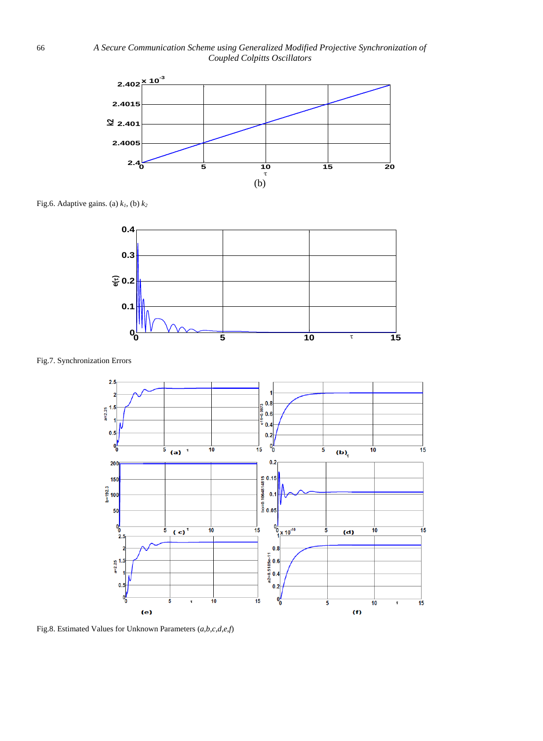

Fig.6. Adaptive gains. (a)  $k_1$ , (b)  $k_2$ 



Fig.7. Synchronization Errors



Fig.8. Estimated Values for Unknown Parameters (*a,b,c,d,e,f*)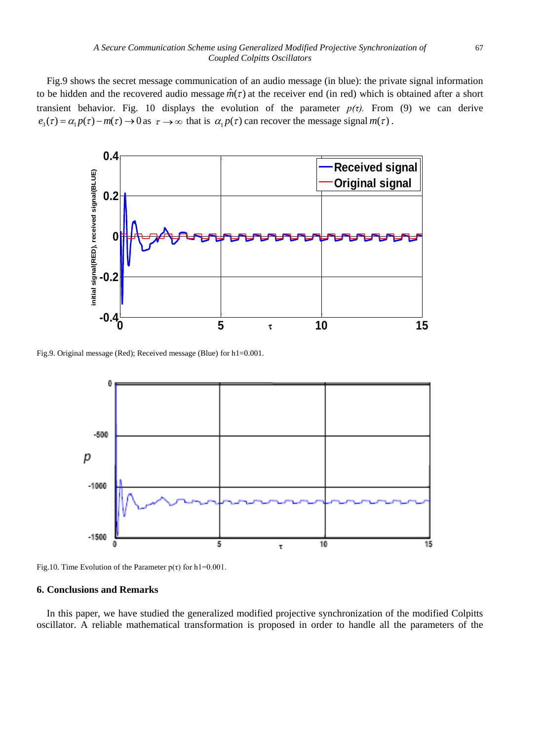Fig.9 shows the secret message communication of an audio message (in blue): the private signal information to be hidden and the recovered audio message  $\hat{m}(\tau)$  at the receiver end (in red) which is obtained after a short transient behavior. Fig. 10 displays the evolution of the parameter  $p(\tau)$ . From (9) we can derive  $e_3(\tau) = \alpha_1 p(\tau) - m(\tau) \rightarrow 0$  as  $\tau \rightarrow \infty$  that is  $\alpha_1 p(\tau)$  can recover the message signal  $m(\tau)$ .



Fig.9. Original message (Red); Received message (Blue) for h1=0.001.



Fig.10. Time Evolution of the Parameter  $p(\tau)$  for h1=0.001.

## **6. Conclusions and Remarks**

In this paper, we have studied the generalized modified projective synchronization of the modified Colpitts oscillator. A reliable mathematical transformation is proposed in order to handle all the parameters of the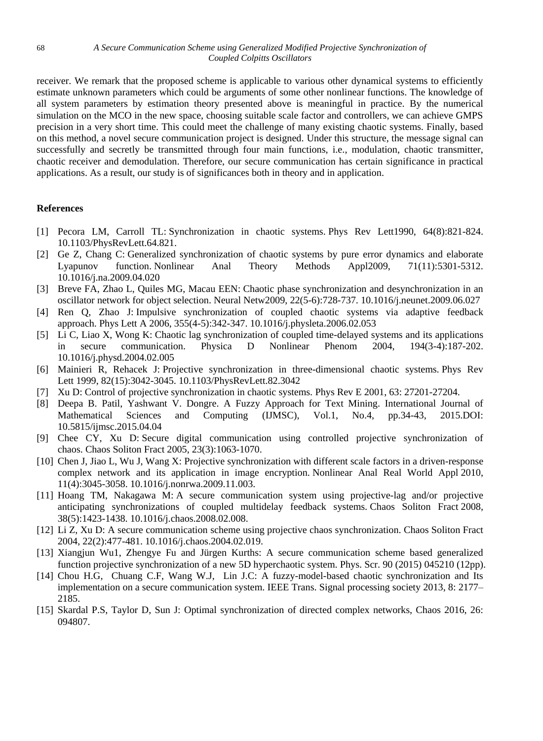receiver. We remark that the proposed scheme is applicable to various other dynamical systems to efficiently estimate unknown parameters which could be arguments of some other nonlinear functions. The knowledge of all system parameters by estimation theory presented above is meaningful in practice. By the numerical simulation on the MCO in the new space, choosing suitable scale factor and controllers, we can achieve GMPS precision in a very short time. This could meet the challenge of many existing chaotic systems. Finally, based on this method, a novel secure communication project is designed. Under this structure, the message signal can successfully and secretly be transmitted through four main functions, i.e., modulation, chaotic transmitter, chaotic receiver and demodulation. Therefore, our secure communication has certain significance in practical applications. As a result, our study is of significances both in theory and in application.

# **References**

- [1] Pecora LM, Carroll TL: Synchronization in chaotic systems. Phys Rev Lett1990, 64(8):821-824. 10.1103/PhysRevLett.64.821.
- [2] Ge Z, Chang C: Generalized synchronization of chaotic systems by pure error dynamics and elaborate Lyapunov function. Nonlinear Anal Theory Methods Appl2009, 71(11):5301-5312. 10.1016/j.na.2009.04.020
- [3] Breve FA, Zhao L, Quiles MG, Macau EEN: Chaotic phase synchronization and desynchronization in an oscillator network for object selection. Neural Netw2009, 22(5-6):728-737. 10.1016/j.neunet.2009.06.027
- [4] Ren Q, Zhao J: Impulsive synchronization of coupled chaotic systems via adaptive feedback approach. Phys Lett A 2006, 355(4-5):342-347. 10.1016/j.physleta.2006.02.053
- [5] Li C, Liao X, Wong K: Chaotic lag synchronization of coupled time-delayed systems and its applications in secure communication. Physica D Nonlinear Phenom 2004, 194(3-4):187-202. 10.1016/j.physd.2004.02.005
- [6] Mainieri R, Rehacek J: Projective synchronization in three-dimensional chaotic systems. Phys Rev Lett 1999, 82(15):3042-3045. 10.1103/PhysRevLett.82.3042
- [7] Xu D: Control of projective synchronization in chaotic systems. Phys Rev E 2001, 63: 27201-27204.
- [8] Deepa B. Patil, Yashwant V. Dongre. A Fuzzy Approach for Text Mining. International Journal of Mathematical Sciences and Computing (IJMSC), Vol.1, No.4, pp.34-43, 2015.DOI: 10.5815/ijmsc.2015.04.04
- [9] Chee CY, Xu D: Secure digital communication using controlled projective synchronization of chaos. Chaos Soliton Fract 2005, 23(3):1063-1070.
- [10] Chen J, Jiao L, Wu J, Wang X: Projective synchronization with different scale factors in a driven-response complex network and its application in image encryption. Nonlinear Anal Real World Appl 2010, 11(4):3045-3058. 10.1016/j.nonrwa.2009.11.003.
- [11] Hoang TM, Nakagawa M: A secure communication system using projective-lag and/or projective anticipating synchronizations of coupled multidelay feedback systems. Chaos Soliton Fract 2008, 38(5):1423-1438. 10.1016/j.chaos.2008.02.008.
- [12] Li Z, Xu D: A secure communication scheme using projective chaos synchronization. Chaos Soliton Fract 2004, 22(2):477-481. 10.1016/j.chaos.2004.02.019.
- [13] Xiangjun Wu1, Zhengye Fu and Jürgen Kurths: A secure communication scheme based generalized function projective synchronization of a new 5D hyperchaotic system. Phys. Scr. 90 (2015) 045210 (12pp).
- [14] [Chou H.G,](http://ieeexplore.ieee.org/search/searchresult.jsp?searchWithin=%22Authors%22:.QT.Chou,%20H.-G..QT.&newsearch=true) [Chuang C.F,](http://ieeexplore.ieee.org/search/searchresult.jsp?searchWithin=%22Authors%22:.QT.Chuang,%20C.-F..QT.&newsearch=true) [Wang W.J,](http://ieeexplore.ieee.org/search/searchresult.jsp?searchWithin=%22Authors%22:.QT.Wang,%20W.-J..QT.&newsearch=true) [Lin J.C: A](http://ieeexplore.ieee.org/search/searchresult.jsp?searchWithin=%22Authors%22:.QT.Lin,%20J.-C..QT.&newsearch=true) fuzzy-model-based chaotic synchronization and Its implementation on a secure communication system. IEEE Trans. [Signal processing society](http://ieeexplore.ieee.org/xpl/RecentIssue.jsp?punumber=10206) 2013, 8: 2177– 2185.
- [15] Skardal P.S, Taylor D, Sun J: Optimal synchronization of directed complex networks, Chaos 2016, 26: 094807.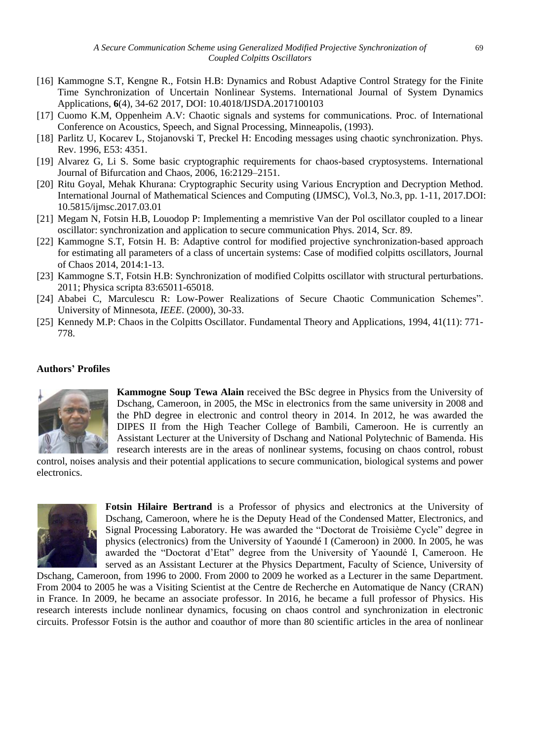- [16] Kammogne S.T, Kengne R., Fotsin H.B: Dynamics and Robust Adaptive Control Strategy for the Finite Time Synchronization of Uncertain Nonlinear Systems. International Journal of System Dynamics Applications, **6**(4), 34-62 2017, DOI: 10.4018/IJSDA.2017100103
- [17] Cuomo K.M, Oppenheim A.V: Chaotic signals and systems for communications. Proc. of International Conference on Acoustics, Speech, and Signal Processing, Minneapolis, (1993).
- [18] Parlitz U, Kocarev L, Stojanovski T, Preckel H: Encoding messages using chaotic synchronization. Phys. Rev. 1996, E53: 4351.
- [19] Alvarez G, Li S. Some basic cryptographic requirements for chaos-based cryptosystems. International Journal of Bifurcation and Chaos, 2006, 16:2129–2151.
- [20] Ritu Goyal, Mehak Khurana: Cryptographic Security using Various Encryption and Decryption Method. International Journal of Mathematical Sciences and Computing (IJMSC), Vol.3, No.3, pp. 1-11, 2017.DOI: 10.5815/ijmsc.2017.03.01
- [21] Megam N, Fotsin H.B, Louodop P: Implementing a memristive Van der Pol oscillator coupled to a linear oscillator: synchronization and application to secure communication Phys. 2014, Scr. 89.
- [22] Kammogne S.T, Fotsin H. B: Adaptive control for modified projective synchronization-based approach for estimating all parameters of a class of uncertain systems: Case of modified colpitts oscillators, Journal of Chaos 2014, 2014:1-13.
- [23] Kammogne S.T, Fotsin H.B: Synchronization of modified Colpitts oscillator with structural perturbations. 2011; Physica scripta 83:65011-65018.
- [24] Ababei C, Marculescu R: Low-Power Realizations of Secure Chaotic Communication Schemes". University of Minnesota, *IEEE*. (2000), 30-33.
- [25] Kennedy M.P: Chaos in the Colpitts Oscillator. Fundamental Theory and Applications, 1994, 41(11): 771- 778.

## **Authors' Profiles**



**Kammogne Soup Tewa Alain** received the BSc degree in Physics from the University of Dschang, Cameroon, in 2005, the MSc in electronics from the same university in 2008 and the PhD degree in electronic and control theory in 2014. In 2012, he was awarded the DIPES II from the High Teacher College of Bambili, Cameroon. He is currently an Assistant Lecturer at the University of Dschang and National Polytechnic of Bamenda. His research interests are in the areas of nonlinear systems, focusing on chaos control, robust

control, noises analysis and their potential applications to secure communication, biological systems and power electronics.



**Fotsin Hilaire Bertrand** is a Professor of physics and electronics at the University of Dschang, Cameroon, where he is the Deputy Head of the Condensed Matter, Electronics, and Signal Processing Laboratory. He was awarded the "Doctorat de Troisième Cycle" degree in physics (electronics) from the University of Yaoundé I (Cameroon) in 2000. In 2005, he was awarded the "Doctorat d'Etat" degree from the University of Yaoundé I, Cameroon. He served as an Assistant Lecturer at the Physics Department, Faculty of Science, University of

Dschang, Cameroon, from 1996 to 2000. From 2000 to 2009 he worked as a Lecturer in the same Department. From 2004 to 2005 he was a Visiting Scientist at the Centre de Recherche en Automatique de Nancy (CRAN) in France. In 2009, he became an associate professor. In 2016, he became a full professor of Physics. His research interests include nonlinear dynamics, focusing on chaos control and synchronization in electronic circuits. Professor Fotsin is the author and coauthor of more than 80 scientific articles in the area of nonlinear